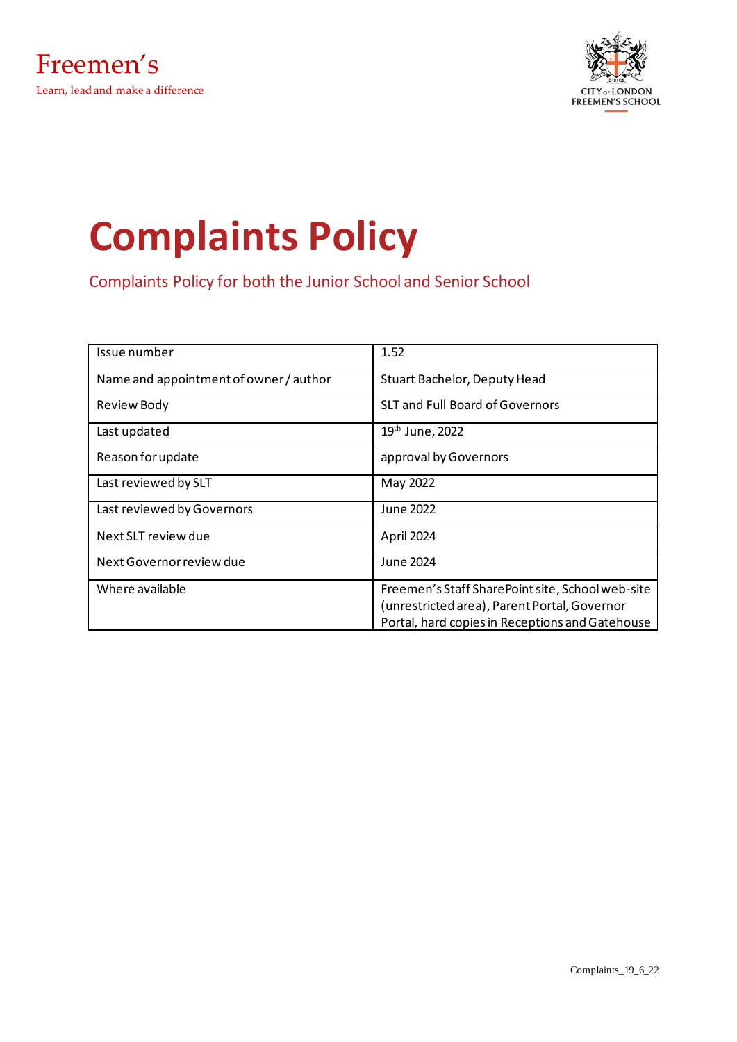

# **Complaints Policy**

Complaints Policy for both the Junior School and Senior School

| Issue number                           | 1.52                                             |
|----------------------------------------|--------------------------------------------------|
| Name and appointment of owner / author | Stuart Bachelor, Deputy Head                     |
| <b>Review Body</b>                     | <b>SLT and Full Board of Governors</b>           |
| Last updated                           | 19 <sup>th</sup> June, 2022                      |
| Reason for update                      | approval by Governors                            |
| Last reviewed by SLT                   | May 2022                                         |
| Last reviewed by Governors             | June 2022                                        |
| Next SLT review due                    | April 2024                                       |
| Next Governor review due               | June 2024                                        |
| Where available                        | Freemen's Staff SharePoint site, School web-site |
|                                        | (unrestricted area), Parent Portal, Governor     |
|                                        | Portal, hard copies in Receptions and Gatehouse  |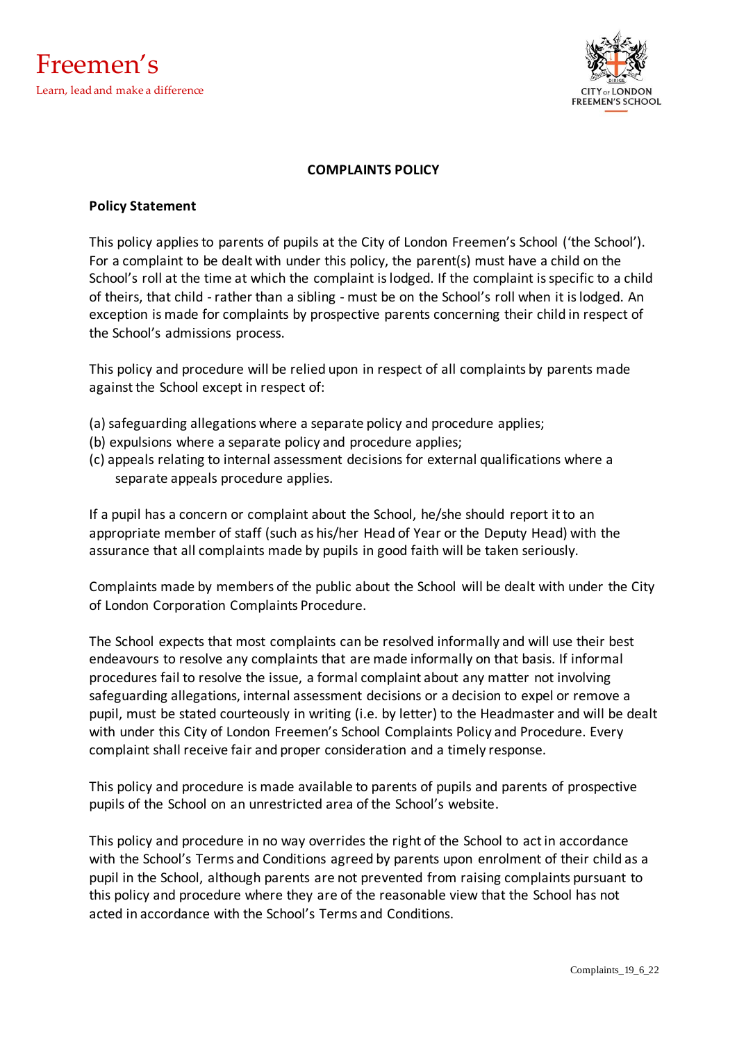

#### **COMPLAINTS POLICY**

#### **Policy Statement**

This policy applies to parents of pupils at the City of London Freemen's School ('the School'). For a complaint to be dealt with under this policy, the parent(s) must have a child on the School's roll at the time at which the complaint is lodged. If the complaint is specific to a child of theirs, that child - rather than a sibling - must be on the School's roll when it is lodged. An exception is made for complaints by prospective parents concerning their child in respect of the School's admissions process.

This policy and procedure will be relied upon in respect of all complaints by parents made against the School except in respect of:

- (a) safeguarding allegations where a separate policy and procedure applies;
- (b) expulsions where a separate policy and procedure applies;
- (c) appeals relating to internal assessment decisions for external qualifications where a separate appeals procedure applies.

If a pupil has a concern or complaint about the School, he/she should report it to an appropriate member of staff (such as his/her Head of Year or the Deputy Head) with the assurance that all complaints made by pupils in good faith will be taken seriously.

Complaints made by members of the public about the School will be dealt with under the City of London Corporation Complaints Procedure.

The School expects that most complaints can be resolved informally and will use their best endeavours to resolve any complaints that are made informally on that basis. If informal procedures fail to resolve the issue, a formal complaint about any matter not involving safeguarding allegations, internal assessment decisions or a decision to expel or remove a pupil, must be stated courteously in writing (i.e. by letter) to the Headmaster and will be dealt with under this City of London Freemen's School Complaints Policy and Procedure. Every complaint shall receive fair and proper consideration and a timely response.

This policy and procedure is made available to parents of pupils and parents of prospective pupils of the School on an unrestricted area of the School's website.

This policy and procedure in no way overrides the right of the School to act in accordance with the School's Terms and Conditions agreed by parents upon enrolment of their child as a pupil in the School, although parents are not prevented from raising complaints pursuant to this policy and procedure where they are of the reasonable view that the School has not acted in accordance with the School's Terms and Conditions.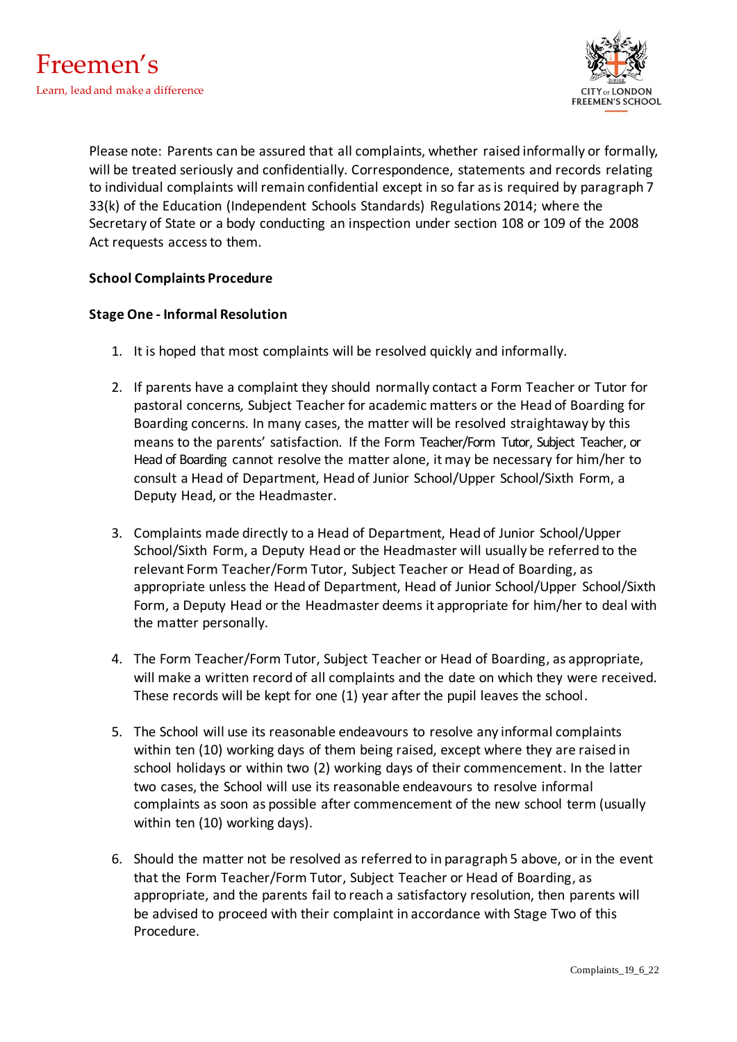

Please note: Parents can be assured that all complaints, whether raised informally or formally, will be treated seriously and confidentially. Correspondence, statements and records relating to individual complaints will remain confidential except in so far as is required by paragraph 7 33(k) of the Education (Independent Schools Standards) Regulations 2014; where the Secretary of State or a body conducting an inspection under section 108 or 109 of the 2008 Act requests access to them.

## **School Complaints Procedure**

#### **Stage One - Informal Resolution**

- 1. It is hoped that most complaints will be resolved quickly and informally.
- 2. If parents have a complaint they should normally contact a Form Teacher or Tutor for pastoral concerns*,* Subject Teacher for academic matters or the Head of Boarding for Boarding concerns. In many cases, the matter will be resolved straightaway by this means to the parents' satisfaction. If the Form Teacher/Form Tutor, Subject Teacher, or Head of Boarding cannot resolve the matter alone, it may be necessary for him/her to consult a Head of Department, Head of Junior School/Upper School/Sixth Form, a Deputy Head, or the Headmaster.
- 3. Complaints made directly to a Head of Department, Head of Junior School/Upper School/Sixth Form, a Deputy Head or the Headmaster will usually be referred to the relevant Form Teacher/Form Tutor, Subject Teacher or Head of Boarding, as appropriate unless the Head of Department, Head of Junior School/Upper School/Sixth Form, a Deputy Head or the Headmaster deems it appropriate for him/her to deal with the matter personally.
- 4. The Form Teacher/Form Tutor, Subject Teacher or Head of Boarding, as appropriate, will make a written record of all complaints and the date on which they were received. These records will be kept for one (1) year after the pupil leaves the school.
- 5. The School will use its reasonable endeavours to resolve any informal complaints within ten (10) working days of them being raised, except where they are raised in school holidays or within two (2) working days of their commencement. In the latter two cases, the School will use its reasonable endeavours to resolve informal complaints as soon as possible after commencement of the new school term (usually within ten (10) working days).
- 6. Should the matter not be resolved as referred to in paragraph 5 above, or in the event that the Form Teacher/Form Tutor, Subject Teacher or Head of Boarding, as appropriate, and the parents fail to reach a satisfactory resolution, then parents will be advised to proceed with their complaint in accordance with Stage Two of this Procedure.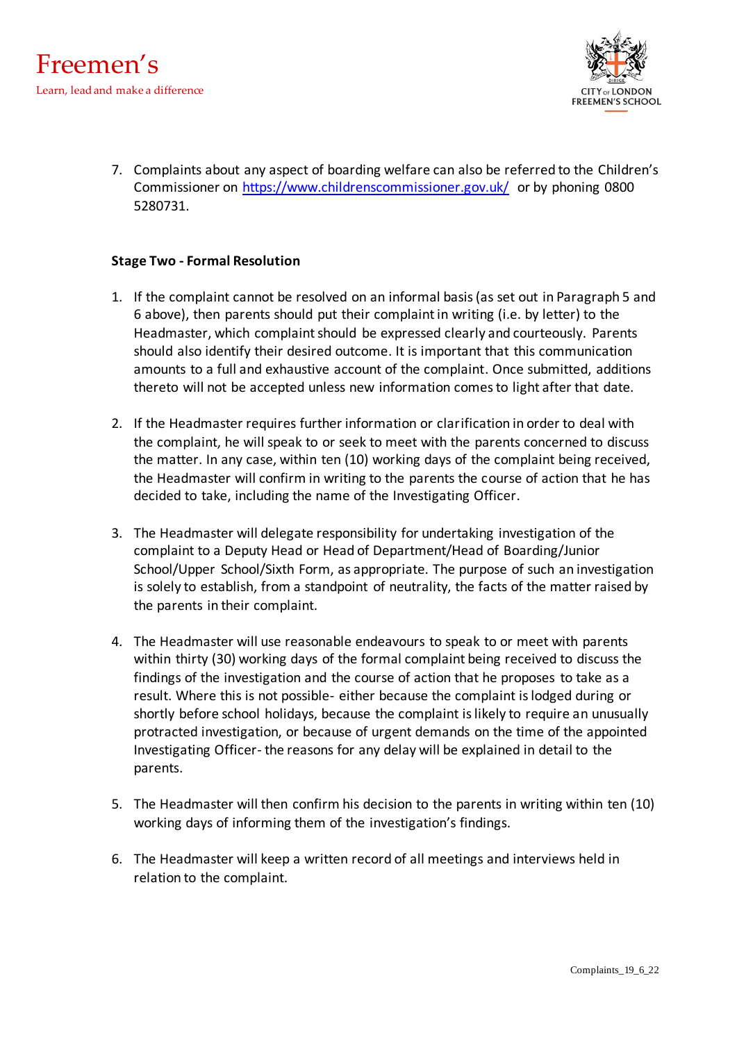

7. Complaints about any aspect of boarding welfare can also be referred to the Children's [Commissioner](http://commissioner/) on<https://www.childrenscommissioner.gov.uk/> or by phoning 0800 5280731.

## **Stage Two - Formal Resolution**

- 1. If the complaint cannot be resolved on an informal basis (as set out in Paragraph 5 and 6 above), then parents should put their complaint in writing (i.e. by letter) to the Headmaster, which complaint should be expressed clearly and courteously. Parents should also identify their desired outcome. It is important that this communication amounts to a full and exhaustive account of the complaint. Once submitted, additions thereto will not be accepted unless new information comes to light after that date.
- 2. If the Headmaster requires further information or clarification in order to deal with the complaint, he will speak to or seek to meet with the parents concerned to discuss the matter. In any case, within ten (10) working days of the complaint being received, the Headmaster will confirm in writing to the parents the course of action that he has decided to take, including the name of the Investigating Officer.
- 3. The Headmaster will delegate responsibility for undertaking investigation of the complaint to a Deputy Head or Head of Department/Head of Boarding/Junior School/Upper School/Sixth Form, as appropriate. The purpose of such an investigation is solely to establish, from a standpoint of neutrality, the facts of the matter raised by the parents in their complaint.
- 4. The Headmaster will use reasonable endeavours to speak to or meet with parents within thirty (30) working days of the formal complaint being received to discuss the findings of the investigation and the course of action that he proposes to take as a result. Where this is not possible- either because the complaint is lodged during or shortly before school holidays, because the complaint is likely to require an unusually protracted investigation, or because of urgent demands on the time of the appointed Investigating Officer- the reasons for any delay will be explained in detail to the parents.
- 5. The Headmaster will then confirm his decision to the parents in writing within ten (10) working days of informing them of the investigation's findings.
- 6. The Headmaster will keep a written record of all meetings and interviews held in relation to the complaint.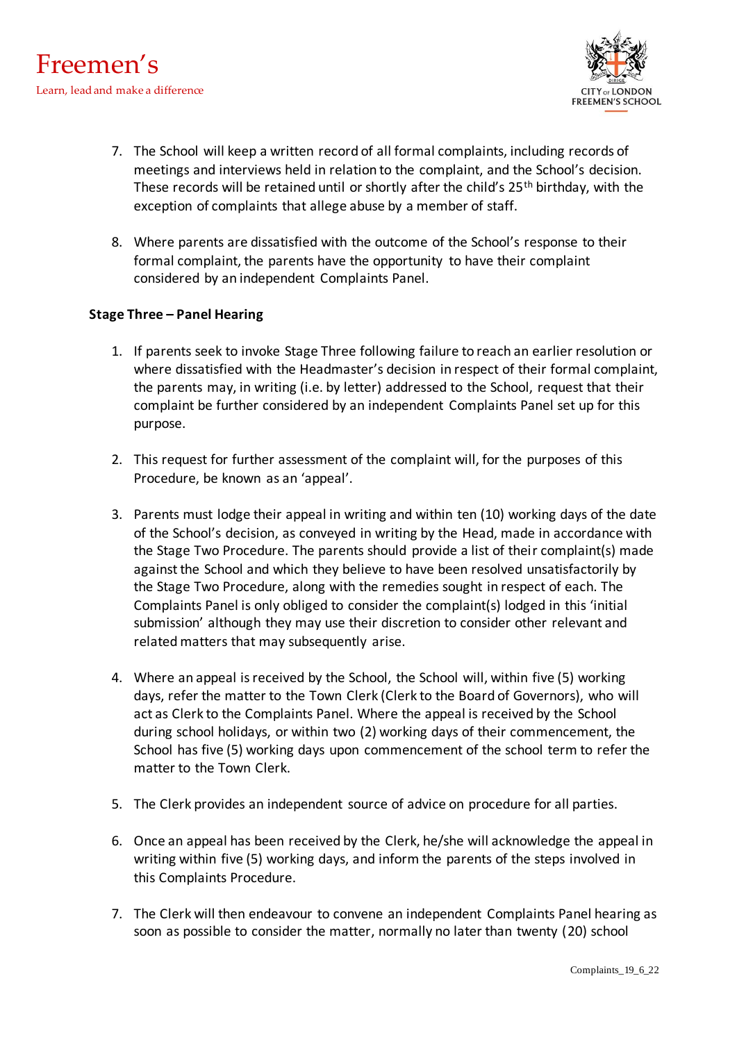

- 7. The School will keep a written record of all formal complaints, including records of meetings and interviews held in relation to the complaint, and the School's decision. These records will be retained until or shortly after the child's  $25<sup>th</sup>$  birthday, with the exception of complaints that allege abuse by a member of staff.
- 8. Where parents are dissatisfied with the outcome of the School's response to their formal complaint, the parents have the opportunity to have their complaint considered by an independent Complaints Panel.

## **Stage Three – Panel Hearing**

- 1. If parents seek to invoke Stage Three following failure to reach an earlier resolution or where dissatisfied with the Headmaster's decision in respect of their formal complaint, the parents may, in writing (i.e. by letter) addressed to the School, request that their complaint be further considered by an independent Complaints Panel set up for this purpose.
- 2. This request for further assessment of the complaint will, for the purposes of this Procedure, be known as an 'appeal'.
- 3. Parents must lodge their appeal in writing and within ten (10) working days of the date of the School's decision, as conveyed in writing by the Head, made in accordance with the Stage Two Procedure. The parents should provide a list of their complaint(s) made against the School and which they believe to have been resolved unsatisfactorily by the Stage Two Procedure, along with the remedies sought in respect of each. The Complaints Panel is only obliged to consider the complaint(s) lodged in this 'initial submission' although they may use their discretion to consider other relevant and related matters that may subsequently arise.
- 4. Where an appeal is received by the School, the School will, within five (5) working days, refer the matter to the Town Clerk (Clerk to the Board of Governors), who will act as Clerk to the Complaints Panel. Where the appeal is received by the School during school holidays, or within two (2) working days of their commencement, the School has five (5) working days upon commencement of the school term to refer the matter to the Town Clerk.
- 5. The Clerk provides an independent source of advice on procedure for all parties.
- 6. Once an appeal has been received by the Clerk, he/she will acknowledge the appeal in writing within five (5) working days, and inform the parents of the steps involved in this Complaints Procedure.
- 7. The Clerk will then endeavour to convene an independent Complaints Panel hearing as soon as possible to consider the matter, normally no later than twenty (20) school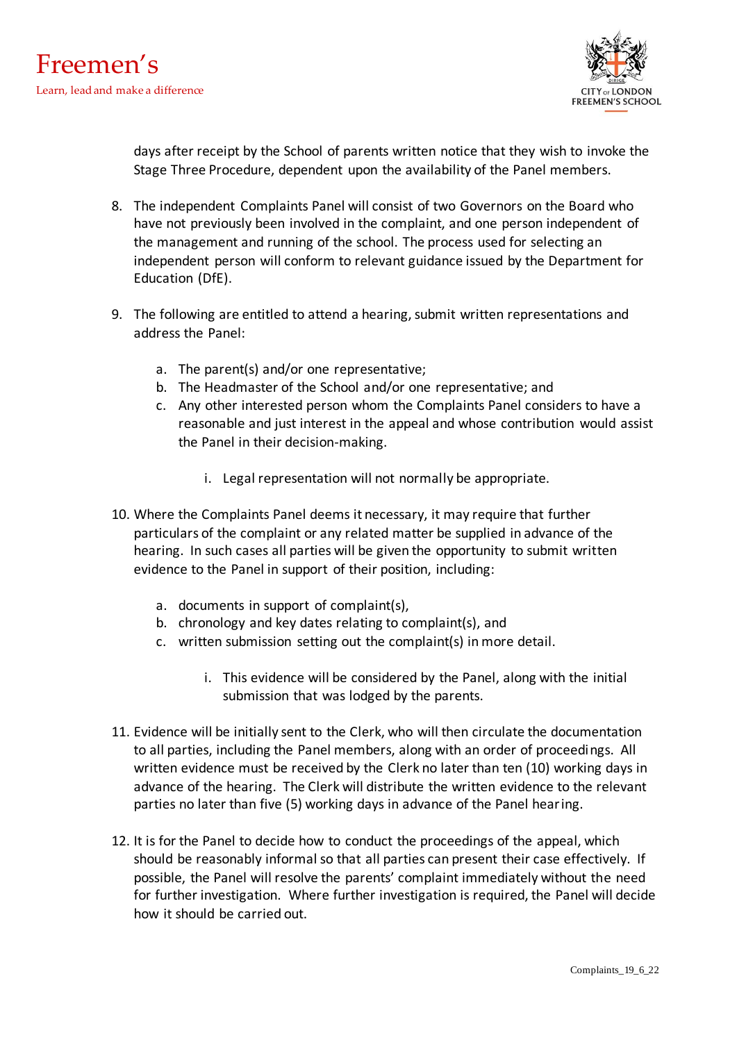

days after receipt by the School of parents written notice that they wish to invoke the Stage Three Procedure, dependent upon the availability of the Panel members.

- 8. The independent Complaints Panel will consist of two Governors on the Board who have not previously been involved in the complaint, and one person independent of the management and running of the school. The process used for selecting an independent person will conform to relevant guidance issued by the Department for Education (DfE).
- 9. The following are entitled to attend a hearing, submit written representations and address the Panel:
	- a. The parent(s) and/or one representative;
	- b. The Headmaster of the School and/or one representative; and
	- c. Any other interested person whom the Complaints Panel considers to have a reasonable and just interest in the appeal and whose contribution would assist the Panel in their decision-making.
		- i. Legal representation will not normally be appropriate.
- 10. Where the Complaints Panel deems it necessary, it may require that further particulars of the complaint or any related matter be supplied in advance of the hearing. In such cases all parties will be given the opportunity to submit written evidence to the Panel in support of their position, including:
	- a. documents in support of complaint(s),
	- b. chronology and key dates relating to complaint(s), and
	- c. written submission setting out the complaint(s) in more detail.
		- i. This evidence will be considered by the Panel, along with the initial submission that was lodged by the parents.
- 11. Evidence will be initially sent to the Clerk, who will then circulate the documentation to all parties, including the Panel members, along with an order of proceedings. All written evidence must be received by the Clerk no later than ten (10) working days in advance of the hearing. The Clerk will distribute the written evidence to the relevant parties no later than five (5) working days in advance of the Panel hearing.
- 12. It is for the Panel to decide how to conduct the proceedings of the appeal, which should be reasonably informal so that all parties can present their case effectively. If possible, the Panel will resolve the parents' complaint immediately without the need for further investigation. Where further investigation is required, the Panel will decide how it should be carried out.